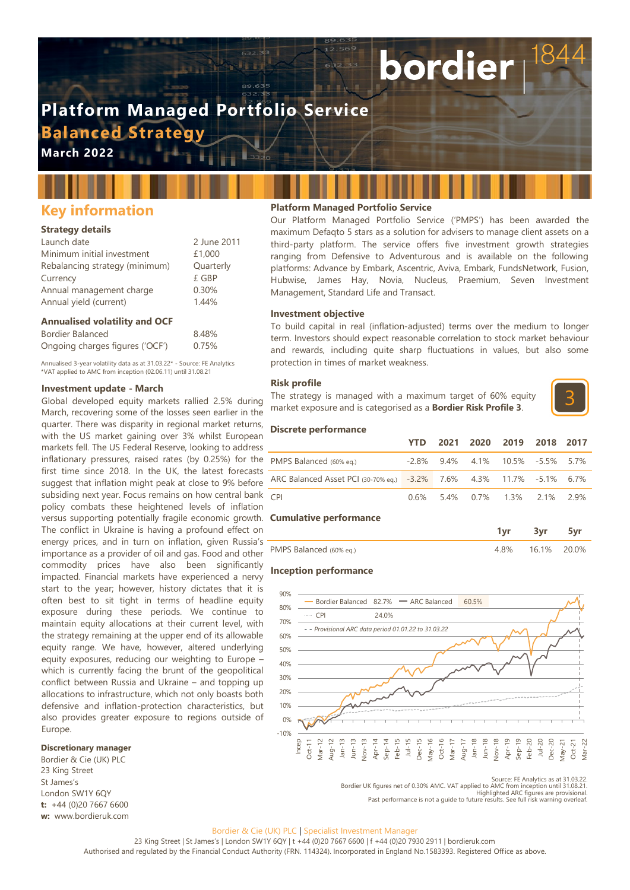# **Platform Managed Portfolio Service Balanced Strategy**

**March 2022**

# **Key information**

## **Strategy details**

| Launch date                    | 2 June 2011 |
|--------------------------------|-------------|
| Minimum initial investment     | £1,000      |
| Rebalancing strategy (minimum) | Quarterly   |
| Currency                       | £ GBP       |
| Annual management charge       | 0.30%       |
| Annual yield (current)         | 1.44%       |

### **Annualised volatility and OCF**

| Bordier Balanced                | 8.48% |
|---------------------------------|-------|
| Ongoing charges figures ('OCF') | 0.75% |

Annualised 3-year volatility data as at 31.03.22\* - Source: FE Analytics \*VAT applied to AMC from inception (02.06.11) until 31.08.21

### **Investment update - March**

versus supporting potentially fragile economic growth. **Cumulative performance** Global developed equity markets rallied 2.5% during March, recovering some of the losses seen earlier in the quarter. There was disparity in regional market returns, with the US market gaining over 3% whilst European markets fell. The US Federal Reserve, looking to address inflationary pressures, raised rates (by 0.25%) for the first time since 2018. In the UK, the latest forecasts suggest that inflation might peak at close to 9% before subsiding next year. Focus remains on how central bank policy combats these heightened levels of inflation The conflict in Ukraine is having a profound effect on energy prices, and in turn on inflation, given Russia's importance as a provider of oil and gas. Food and other commodity prices have also been significantly impacted. Financial markets have experienced a nervy start to the year; however, history dictates that it is often best to sit tight in terms of headline equity exposure during these periods. We continue to maintain equity allocations at their current level, with the strategy remaining at the upper end of its allowable equity range. We have, however, altered underlying equity exposures, reducing our weighting to Europe – which is currently facing the brunt of the geopolitical conflict between Russia and Ukraine – and topping up allocations to infrastructure, which not only boasts both defensive and inflation-protection characteristics, but also provides greater exposure to regions outside of Europe.

# **Discretionary manager**

Bordier & Cie (UK) PLC 23 King Street St James's London SW1Y 6QY **t:** +44 (0)20 7667 6600 **w:** www.bordieruk.com

## **Platform Managed Portfolio Service**

Our Platform Managed Portfolio Service ('PMPS') has been awarded the maximum Defaqto 5 stars as a solution for advisers to manage client assets on a third-party platform. The service offers five investment growth strategies ranging from Defensive to Adventurous and is available on the following platforms: Advance by Embark, Ascentric, Aviva, Embark, FundsNetwork, Fusion, Hubwise, James Hay, Novia, Nucleus, Praemium, Seven Investment Management, Standard Life and Transact.

bordier

### **Investment objective**

To build capital in real (inflation-adjusted) terms over the medium to longer term. Investors should expect reasonable correlation to stock market behaviour and rewards, including quite sharp fluctuations in values, but also some protection in times of market weakness.

### **Risk profile**

The strategy is managed with a maximum target of 60% equity market exposure and is categorised as a **Bordier Risk Profile 3**.



### **Discrete performance**

|                                                                      | <b>YTD</b> |  | 2021 2020 2019 2018 2017               |  |
|----------------------------------------------------------------------|------------|--|----------------------------------------|--|
| PMPS Balanced (60% eq.)                                              |            |  | $-2.8\%$ 9.4% 4.1% 10.5% $-5.5\%$ 5.7% |  |
| ARC Balanced Asset PCI (30-70% eq.) -3.2% 7.6% 4.3% 11.7% -5.1% 6.7% |            |  |                                        |  |
| <b>CPI</b>                                                           |            |  | 0.6% 5.4% 0.7% 1.3% 2.1% 2.9%          |  |

|                         | ---   |  |
|-------------------------|-------|--|
| PMPS Balanced (60% eq.) | $1\%$ |  |

### **Inception performance**



Source: FE Analytics as at 31.03.22. Bordier UK figures net of 0.30% AMC. VAT applied to AMC from inception until 31.08.21. Highlighted ARC figures are provisional. Past performance is not a guide to future results. See full risk warning overleaf.

### Bordier & Cie (UK) PLC | Specialist Investment Manager

23 King Street | St James's | London SW1Y 6QY | t +44 (0)20 7667 6600 | f +44 (0)20 7930 2911 | bordieruk.com Authorised and regulated by the Financial Conduct Authority (FRN. 114324). Incorporated in England No.1583393. Registered Office as above.